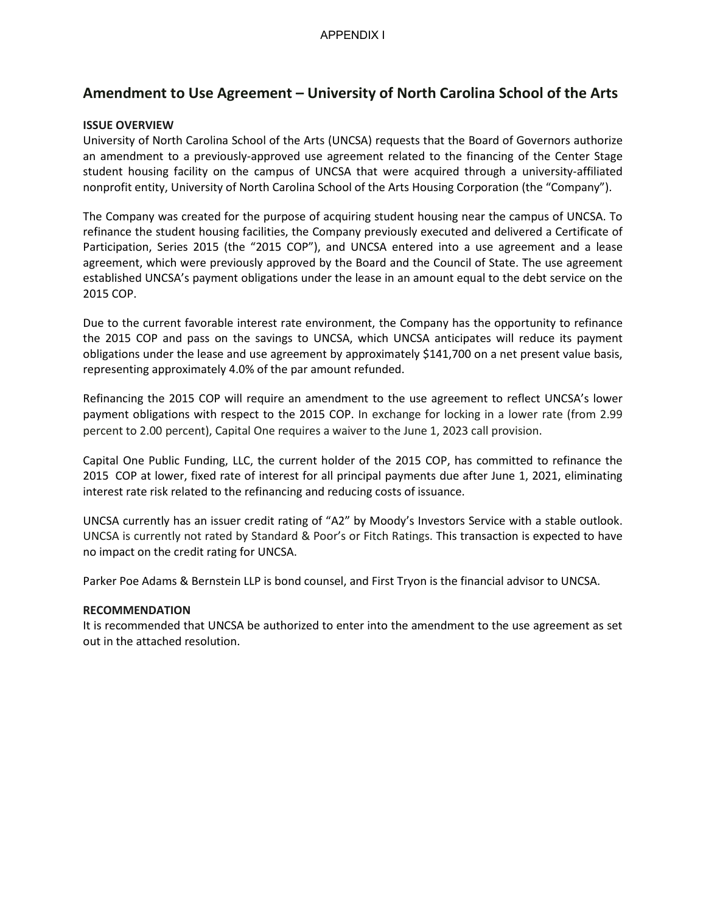# **Amendment to Use Agreement – University of North Carolina School of the Arts**

### **ISSUE OVERVIEW**

University of North Carolina School of the Arts (UNCSA) requests that the Board of Governors authorize an amendment to a previously-approved use agreement related to the financing of the Center Stage student housing facility on the campus of UNCSA that were acquired through a university-affiliated nonprofit entity, University of North Carolina School of the Arts Housing Corporation (the "Company").

The Company was created for the purpose of acquiring student housing near the campus of UNCSA. To refinance the student housing facilities, the Company previously executed and delivered a Certificate of Participation, Series 2015 (the "2015 COP"), and UNCSA entered into a use agreement and a lease agreement, which were previously approved by the Board and the Council of State. The use agreement established UNCSA's payment obligations under the lease in an amount equal to the debt service on the 2015 COP.

Due to the current favorable interest rate environment, the Company has the opportunity to refinance the 2015 COP and pass on the savings to UNCSA, which UNCSA anticipates will reduce its payment obligations under the lease and use agreement by approximately \$141,700 on a net present value basis, representing approximately 4.0% of the par amount refunded.

Refinancing the 2015 COP will require an amendment to the use agreement to reflect UNCSA's lower payment obligations with respect to the 2015 COP. In exchange for locking in a lower rate (from 2.99 percent to 2.00 percent), Capital One requires a waiver to the June 1, 2023 call provision.

Capital One Public Funding, LLC, the current holder of the 2015 COP, has committed to refinance the 2015 COP at lower, fixed rate of interest for all principal payments due after June 1, 2021, eliminating interest rate risk related to the refinancing and reducing costs of issuance.

UNCSA currently has an issuer credit rating of "A2" by Moody's Investors Service with a stable outlook. UNCSA is currently not rated by Standard & Poor's or Fitch Ratings. This transaction is expected to have no impact on the credit rating for UNCSA.

Parker Poe Adams & Bernstein LLP is bond counsel, and First Tryon is the financial advisor to UNCSA.

### **RECOMMENDATION**

It is recommended that UNCSA be authorized to enter into the amendment to the use agreement as set out in the attached resolution.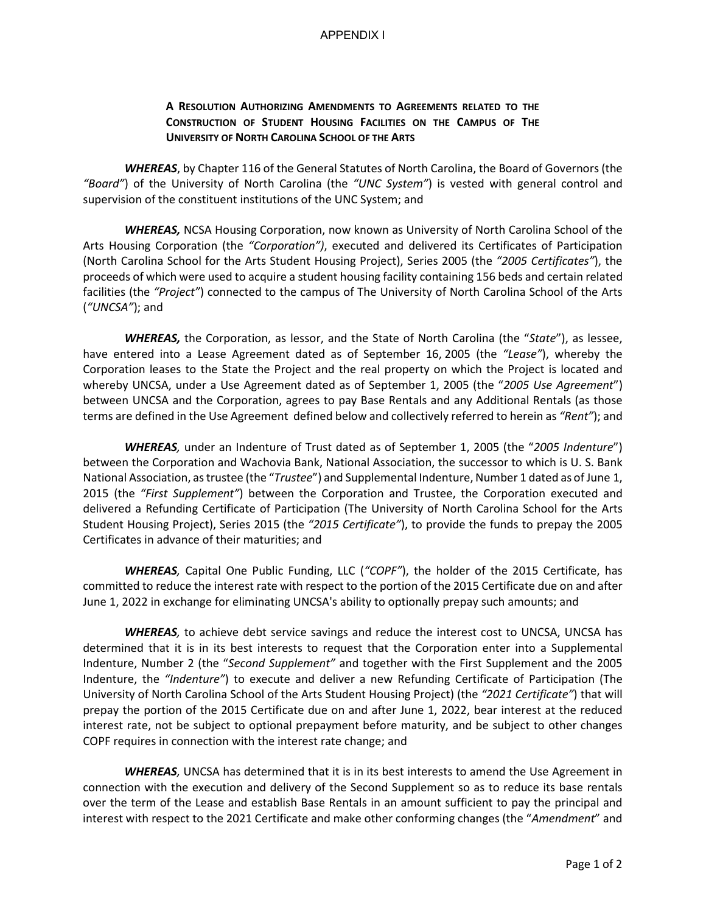#### APPENDIX I

### **A RESOLUTION AUTHORIZING AMENDMENTS TO AGREEMENTS RELATED TO THE CONSTRUCTION OF STUDENT HOUSING FACILITIES ON THE CAMPUS OF THE UNIVERSITY OF NORTH CAROLINA SCHOOL OF THE ARTS**

*WHEREAS*, by Chapter 116 of the General Statutes of North Carolina, the Board of Governors (the *"Board"*) of the University of North Carolina (the *"UNC System"*) is vested with general control and supervision of the constituent institutions of the UNC System; and

*WHEREAS,* NCSA Housing Corporation, now known as University of North Carolina School of the Arts Housing Corporation (the *"Corporation")*, executed and delivered its Certificates of Participation (North Carolina School for the Arts Student Housing Project), Series 2005 (the *"2005 Certificates"*), the proceeds of which were used to acquire a student housing facility containing 156 beds and certain related facilities (the *"Project"*) connected to the campus of The University of North Carolina School of the Arts (*"UNCSA"*); and

*WHEREAS,* the Corporation, as lessor, and the State of North Carolina (the "*State*"), as lessee, have entered into a Lease Agreement dated as of September 16, 2005 (the *"Lease"*), whereby the Corporation leases to the State the Project and the real property on which the Project is located and whereby UNCSA, under a Use Agreement dated as of September 1, 2005 (the "*2005 Use Agreement*") between UNCSA and the Corporation, agrees to pay Base Rentals and any Additional Rentals (as those terms are defined in the Use Agreement defined below and collectively referred to herein as *"Rent"*); and

*WHEREAS,* under an Indenture of Trust dated as of September 1, 2005 (the "*2005 Indenture*") between the Corporation and Wachovia Bank, National Association, the successor to which is U. S. Bank National Association, as trustee (the "*Trustee*") and Supplemental Indenture, Number 1 dated as of June 1, 2015 (the *"First Supplement"*) between the Corporation and Trustee, the Corporation executed and delivered a Refunding Certificate of Participation (The University of North Carolina School for the Arts Student Housing Project), Series 2015 (the *"2015 Certificate"*), to provide the funds to prepay the 2005 Certificates in advance of their maturities; and

*WHEREAS,* Capital One Public Funding, LLC (*"COPF"*), the holder of the 2015 Certificate, has committed to reduce the interest rate with respect to the portion of the 2015 Certificate due on and after June 1, 2022 in exchange for eliminating UNCSA's ability to optionally prepay such amounts; and

*WHEREAS,* to achieve debt service savings and reduce the interest cost to UNCSA, UNCSA has determined that it is in its best interests to request that the Corporation enter into a Supplemental Indenture, Number 2 (the "*Second Supplement"* and together with the First Supplement and the 2005 Indenture, the *"Indenture"*) to execute and deliver a new Refunding Certificate of Participation (The University of North Carolina School of the Arts Student Housing Project) (the *"2021 Certificate"*) that will prepay the portion of the 2015 Certificate due on and after June 1, 2022, bear interest at the reduced interest rate, not be subject to optional prepayment before maturity, and be subject to other changes COPF requires in connection with the interest rate change; and

*WHEREAS,* UNCSA has determined that it is in its best interests to amend the Use Agreement in connection with the execution and delivery of the Second Supplement so as to reduce its base rentals over the term of the Lease and establish Base Rentals in an amount sufficient to pay the principal and interest with respect to the 2021 Certificate and make other conforming changes (the "*Amendment*" and